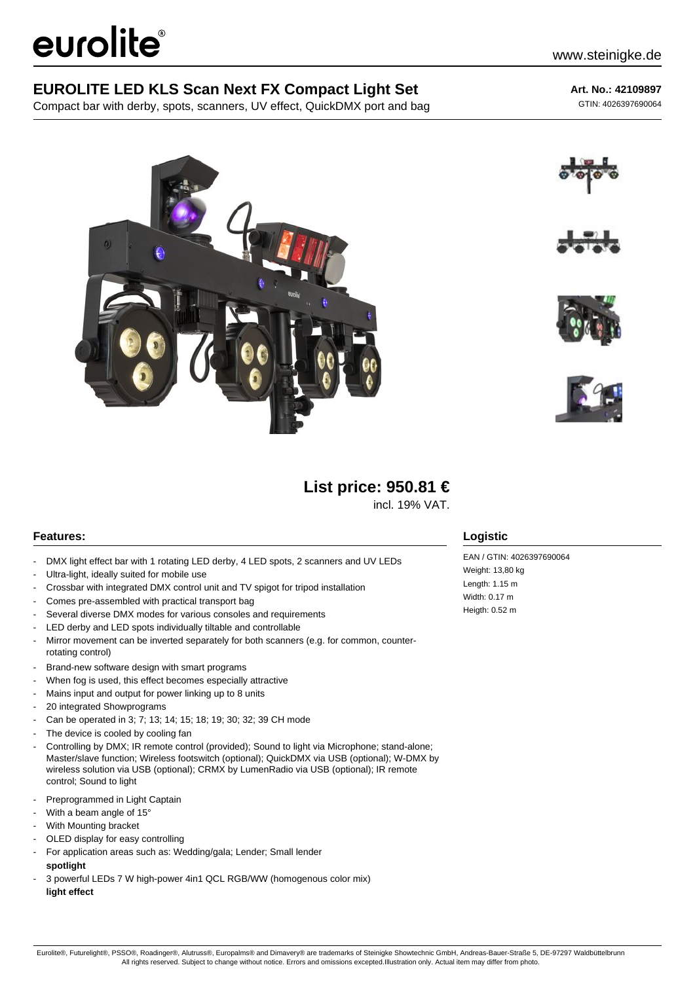# eurolite®

### **EUROLITE LED KLS Scan Next FX Compact Light Set**

Compact bar with derby, spots, scanners, UV effect, QuickDMX port and bag

**Art. No.: 42109897** GTIN: 4026397690064







## **List price: 950.81 €**

incl. 19% VAT.

#### **Features:**

- DMX light effect bar with 1 rotating LED derby, 4 LED spots, 2 scanners and UV LEDs
- Ultra-light, ideally suited for mobile use
- Crossbar with integrated DMX control unit and TV spigot for tripod installation
- Comes pre-assembled with practical transport bag
- Several diverse DMX modes for various consoles and requirements
- LED derby and LED spots individually tiltable and controllable
- Mirror movement can be inverted separately for both scanners (e.g. for common, counterrotating control)
- Brand-new software design with smart programs
- When fog is used, this effect becomes especially attractive
- Mains input and output for power linking up to 8 units
- 20 integrated Showprograms
- Can be operated in 3; 7; 13; 14; 15; 18; 19; 30; 32; 39 CH mode
- The device is cooled by cooling fan
- Controlling by DMX; IR remote control (provided); Sound to light via Microphone; stand-alone; Master/slave function; Wireless footswitch (optional); QuickDMX via USB (optional); W-DMX by wireless solution via USB (optional); CRMX by LumenRadio via USB (optional); IR remote control; Sound to light
- Preprogrammed in Light Captain
- With a beam angle of 15°
- With Mounting bracket
- OLED display for easy controlling
- For application areas such as: Wedding/gala; Lender; Small lender **spotlight**
- 3 powerful LEDs 7 W high-power 4in1 QCL RGB/WW (homogenous color mix) **light effect**

#### **Logistic**

EAN / GTIN: 4026397690064 Weight: 13,80 kg Length: 1.15 m Width: 0.17 m Heigth: 0.52 m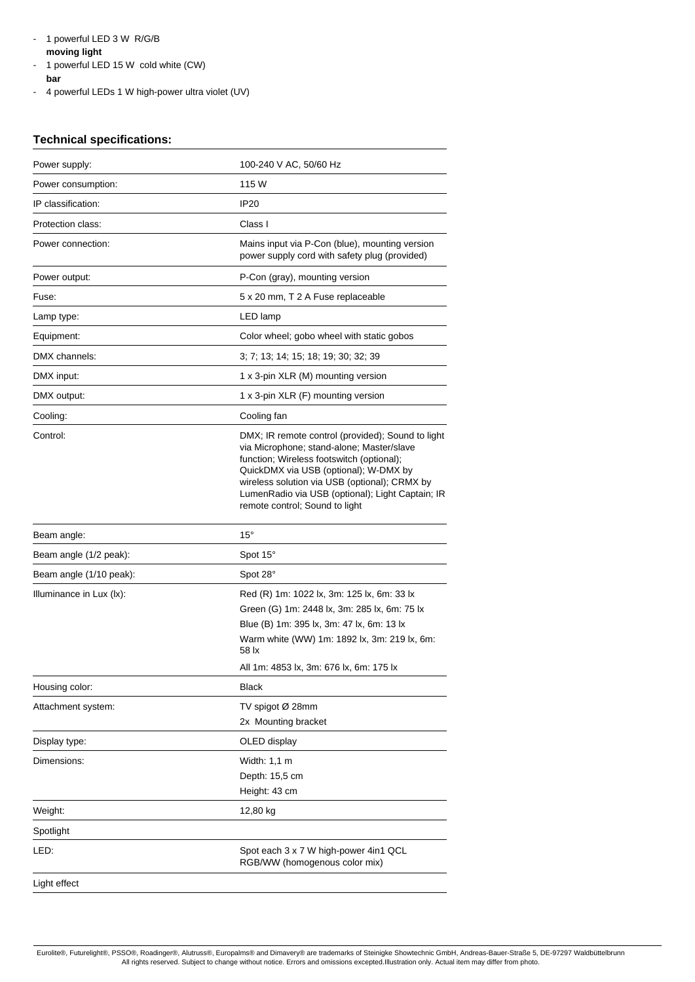- 1 powerful LED 3 W R/G/B
- **moving light**
- 1 powerful LED 15 W cold white (CW) **bar**
- 4 powerful LEDs 1 W high-power ultra violet (UV)

#### **Technical specifications:**

| Power supply:            | 100-240 V AC, 50/60 Hz                                                                                                                                                                                                                                                                                                      |  |
|--------------------------|-----------------------------------------------------------------------------------------------------------------------------------------------------------------------------------------------------------------------------------------------------------------------------------------------------------------------------|--|
| Power consumption:       | 115 W                                                                                                                                                                                                                                                                                                                       |  |
| IP classification:       | IP <sub>20</sub>                                                                                                                                                                                                                                                                                                            |  |
| Protection class:        | Class I                                                                                                                                                                                                                                                                                                                     |  |
| Power connection:        | Mains input via P-Con (blue), mounting version<br>power supply cord with safety plug (provided)                                                                                                                                                                                                                             |  |
| Power output:            | P-Con (gray), mounting version                                                                                                                                                                                                                                                                                              |  |
| Fuse:                    | 5 x 20 mm, T 2 A Fuse replaceable                                                                                                                                                                                                                                                                                           |  |
| Lamp type:               | LED lamp                                                                                                                                                                                                                                                                                                                    |  |
| Equipment:               | Color wheel; gobo wheel with static gobos                                                                                                                                                                                                                                                                                   |  |
| DMX channels:            | 3; 7; 13; 14; 15; 18; 19; 30; 32; 39                                                                                                                                                                                                                                                                                        |  |
| DMX input:               | 1 x 3-pin XLR (M) mounting version                                                                                                                                                                                                                                                                                          |  |
| DMX output:              | 1 x 3-pin XLR (F) mounting version                                                                                                                                                                                                                                                                                          |  |
| Cooling:                 | Cooling fan                                                                                                                                                                                                                                                                                                                 |  |
| Control:                 | DMX; IR remote control (provided); Sound to light<br>via Microphone; stand-alone; Master/slave<br>function; Wireless footswitch (optional);<br>QuickDMX via USB (optional); W-DMX by<br>wireless solution via USB (optional); CRMX by<br>LumenRadio via USB (optional); Light Captain; IR<br>remote control; Sound to light |  |
| Beam angle:              | $15^{\circ}$                                                                                                                                                                                                                                                                                                                |  |
| Beam angle (1/2 peak):   | Spot 15°                                                                                                                                                                                                                                                                                                                    |  |
| Beam angle (1/10 peak):  | Spot 28°                                                                                                                                                                                                                                                                                                                    |  |
| Illuminance in Lux (lx): | Red (R) 1m: 1022 lx, 3m: 125 lx, 6m: 33 lx<br>Green (G) 1m: 2448 lx, 3m: 285 lx, 6m: 75 lx<br>Blue (B) 1m: 395 lx, 3m: 47 lx, 6m: 13 lx<br>Warm white (WW) 1m: 1892 lx, 3m: 219 lx, 6m:<br>58 lx<br>All 1m: 4853 lx, 3m: 676 lx, 6m: 175 lx                                                                                 |  |
| Housing color:           | <b>Black</b>                                                                                                                                                                                                                                                                                                                |  |
| Attachment system:       | TV spigot Ø 28mm<br>2x Mounting bracket                                                                                                                                                                                                                                                                                     |  |
| Display type:            | OLED display                                                                                                                                                                                                                                                                                                                |  |
| Dimensions:              | Width: 1,1 m<br>Depth: 15,5 cm<br>Height: 43 cm                                                                                                                                                                                                                                                                             |  |
| Weight:                  | 12,80 kg                                                                                                                                                                                                                                                                                                                    |  |
| Spotlight                |                                                                                                                                                                                                                                                                                                                             |  |
| LED:                     | Spot each 3 x 7 W high-power 4in1 QCL<br>RGB/WW (homogenous color mix)                                                                                                                                                                                                                                                      |  |
| Light effect             |                                                                                                                                                                                                                                                                                                                             |  |